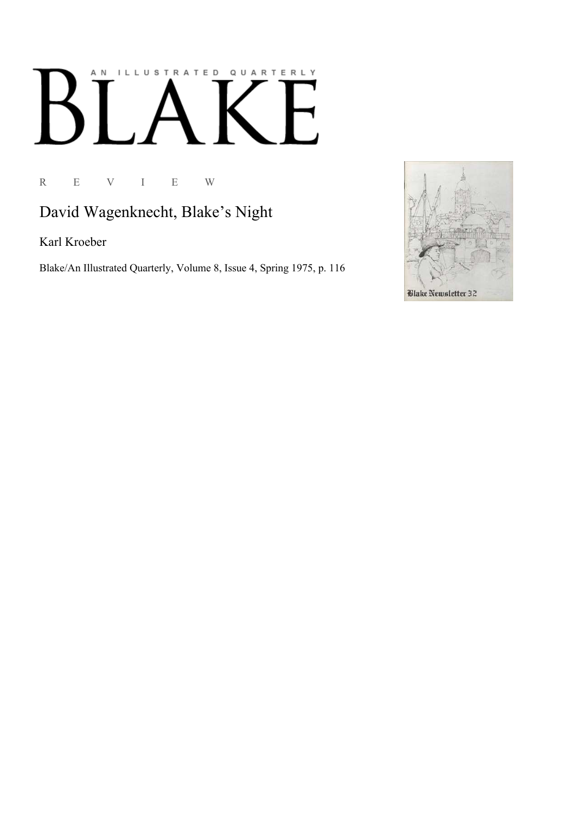## AN ILLUSTRATED QUARTERLY  $\blacksquare$  $\boldsymbol{\beta}$  $\blacksquare$

R E V I E W

## David Wagenknecht, Blake's Night

Karl Kroeber

Blake/An Illustrated Quarterly, Volume 8, Issue 4, Spring 1975, p. 116